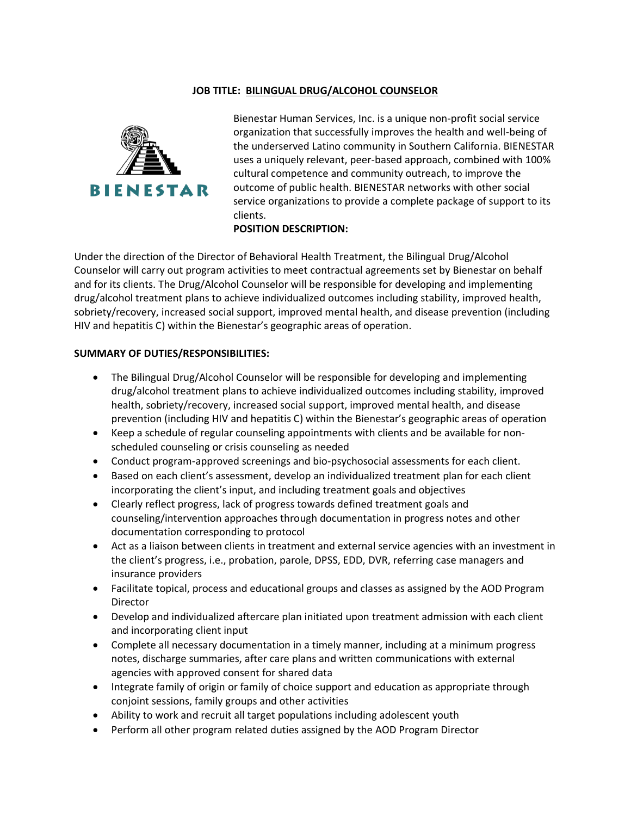# **JOB TITLE: BILINGUAL DRUG/ALCOHOL COUNSELOR**



Bienestar Human Services, Inc. is a unique non-profit social service organization that successfully improves the health and well-being of the underserved Latino community in Southern California. BIENESTAR uses a uniquely relevant, peer-based approach, combined with 100% cultural competence and community outreach, to improve the outcome of public health. BIENESTAR networks with other social service organizations to provide a complete package of support to its clients.

# **POSITION DESCRIPTION:**

Under the direction of the Director of Behavioral Health Treatment, the Bilingual Drug/Alcohol Counselor will carry out program activities to meet contractual agreements set by Bienestar on behalf and for its clients. The Drug/Alcohol Counselor will be responsible for developing and implementing drug/alcohol treatment plans to achieve individualized outcomes including stability, improved health, sobriety/recovery, increased social support, improved mental health, and disease prevention (including HIV and hepatitis C) within the Bienestar's geographic areas of operation.

#### **SUMMARY OF DUTIES/RESPONSIBILITIES:**

- The Bilingual Drug/Alcohol Counselor will be responsible for developing and implementing drug/alcohol treatment plans to achieve individualized outcomes including stability, improved health, sobriety/recovery, increased social support, improved mental health, and disease prevention (including HIV and hepatitis C) within the Bienestar's geographic areas of operation
- Keep a schedule of regular counseling appointments with clients and be available for nonscheduled counseling or crisis counseling as needed
- Conduct program-approved screenings and bio-psychosocial assessments for each client.
- Based on each client's assessment, develop an individualized treatment plan for each client incorporating the client's input, and including treatment goals and objectives
- Clearly reflect progress, lack of progress towards defined treatment goals and counseling/intervention approaches through documentation in progress notes and other documentation corresponding to protocol
- Act as a liaison between clients in treatment and external service agencies with an investment in the client's progress, i.e., probation, parole, DPSS, EDD, DVR, referring case managers and insurance providers
- Facilitate topical, process and educational groups and classes as assigned by the AOD Program Director
- Develop and individualized aftercare plan initiated upon treatment admission with each client and incorporating client input
- Complete all necessary documentation in a timely manner, including at a minimum progress notes, discharge summaries, after care plans and written communications with external agencies with approved consent for shared data
- Integrate family of origin or family of choice support and education as appropriate through conjoint sessions, family groups and other activities
- Ability to work and recruit all target populations including adolescent youth
- Perform all other program related duties assigned by the AOD Program Director